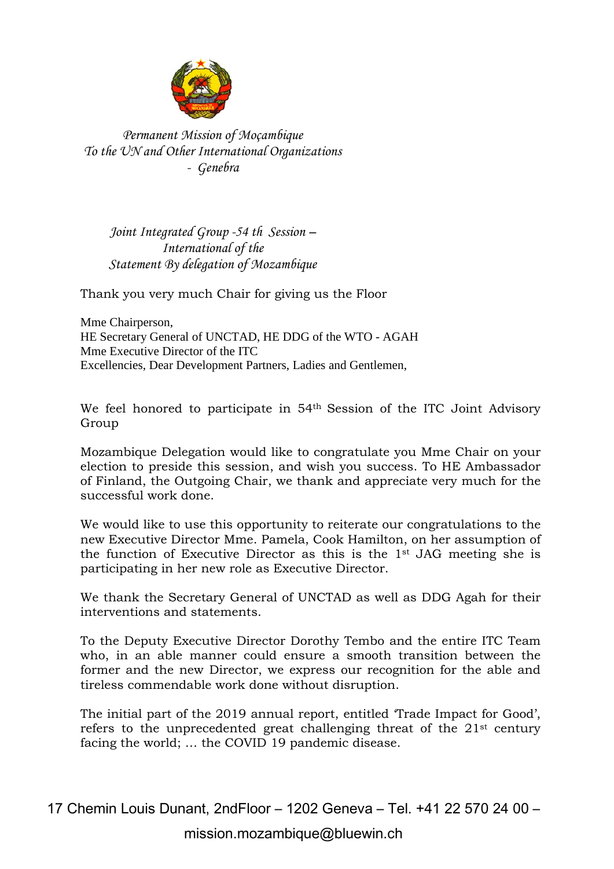

*Permanent Mission of Moçambique To the UN and Other International Organizations - Genebra*

*Joint Integrated Group -54 th Session – International of the Statement By delegation of Mozambique*

Thank you very much Chair for giving us the Floor

Mme Chairperson, HE Secretary General of UNCTAD, HE DDG of the WTO - AGAH Mme Executive Director of the ITC Excellencies, Dear Development Partners, Ladies and Gentlemen,

We feel honored to participate in 54<sup>th</sup> Session of the ITC Joint Advisory Group

Mozambique Delegation would like to congratulate you Mme Chair on your election to preside this session, and wish you success. To HE Ambassador of Finland, the Outgoing Chair, we thank and appreciate very much for the successful work done.

We would like to use this opportunity to reiterate our congratulations to the new Executive Director Mme. Pamela, Cook Hamilton, on her assumption of the function of Executive Director as this is the 1st JAG meeting she is participating in her new role as Executive Director.

We thank the Secretary General of UNCTAD as well as DDG Agah for their interventions and statements.

To the Deputy Executive Director Dorothy Tembo and the entire ITC Team who, in an able manner could ensure a smooth transition between the former and the new Director, we express our recognition for the able and tireless commendable work done without disruption.

The initial part of the 2019 annual report, entitled 'Trade Impact for Good', refers to the unprecedented great challenging threat of the 21st century facing the world; … the COVID 19 pandemic disease.

17 Chemin Louis Dunant, 2ndFloor – 1202 Geneva – Tel. +41 22 570 24 00 –